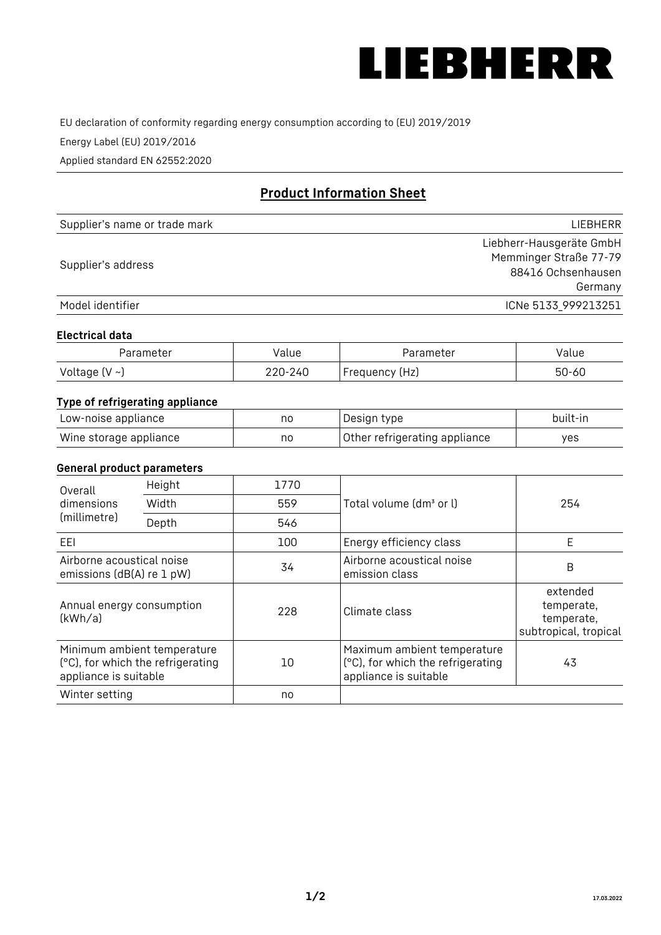

EU declaration of conformity regarding energy consumption according to (EU) 2019/2019

Energy Label (EU) 2019/2016

Applied standard EN 62552:2020

# **Product Information Sheet**

| Supplier's name or trade mark | <b>LIFBHFRR</b>          |
|-------------------------------|--------------------------|
|                               | Liebherr-Hausgeräte GmbH |
| Supplier's address            | Memminger Straße 77-79   |
|                               | 88416 Ochsenhausen       |
|                               | Germany                  |
| Model identifier              | ICNe 5133_999213251      |

#### **Electrical data**

| Parameter           | Value   | Parameter      | alue/     |
|---------------------|---------|----------------|-----------|
| Voltage (V $\sim$ ) | 220-240 | Frequency (Hz) | $50 - 60$ |

# **Type of refrigerating appliance**

| Low-noise appliance    | no | Design type                   | built-in |
|------------------------|----|-------------------------------|----------|
| Wine storage appliance | no | Other refrigerating appliance | yes      |

## **General product parameters**

| Height<br>Overall<br>dimensions<br>Width<br>(millimetre)<br>Depth |                                                                  | 1770 |                                                                                           | 254                                                           |
|-------------------------------------------------------------------|------------------------------------------------------------------|------|-------------------------------------------------------------------------------------------|---------------------------------------------------------------|
|                                                                   |                                                                  | 559  | Total volume (dm <sup>3</sup> or l)                                                       |                                                               |
|                                                                   |                                                                  | 546  |                                                                                           |                                                               |
| EEL                                                               |                                                                  | 100  | Energy efficiency class                                                                   | E                                                             |
| Airborne acoustical noise<br>emissions (dB(A) re 1 pW)            |                                                                  | 34   | Airborne acoustical noise<br>emission class                                               | B                                                             |
| Annual energy consumption<br>(kWh/a)                              |                                                                  | 228  | Climate class                                                                             | extended<br>temperate,<br>temperate,<br>subtropical, tropical |
| appliance is suitable                                             | Minimum ambient temperature<br>(°C), for which the refrigerating | 10   | Maximum ambient temperature<br>(°C), for which the refrigerating<br>appliance is suitable | 43                                                            |
| Winter setting                                                    |                                                                  | no   |                                                                                           |                                                               |